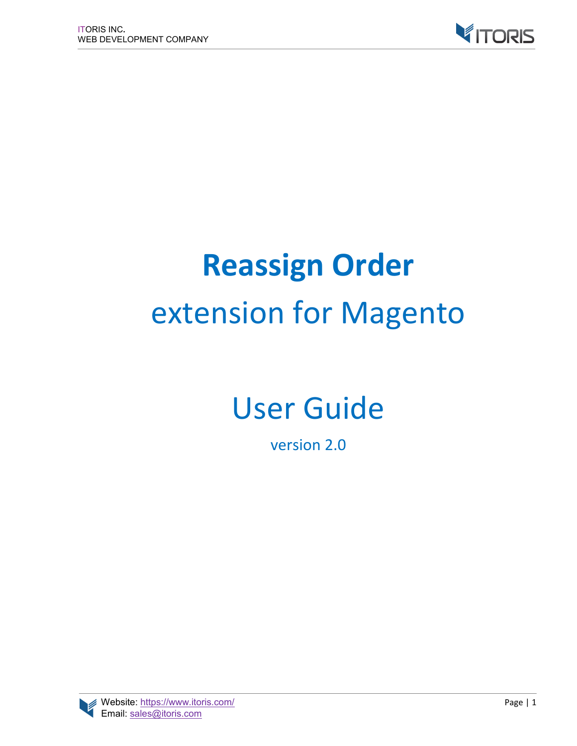

# **Reassign Order** extension for Magento

# User Guide

version 2.0

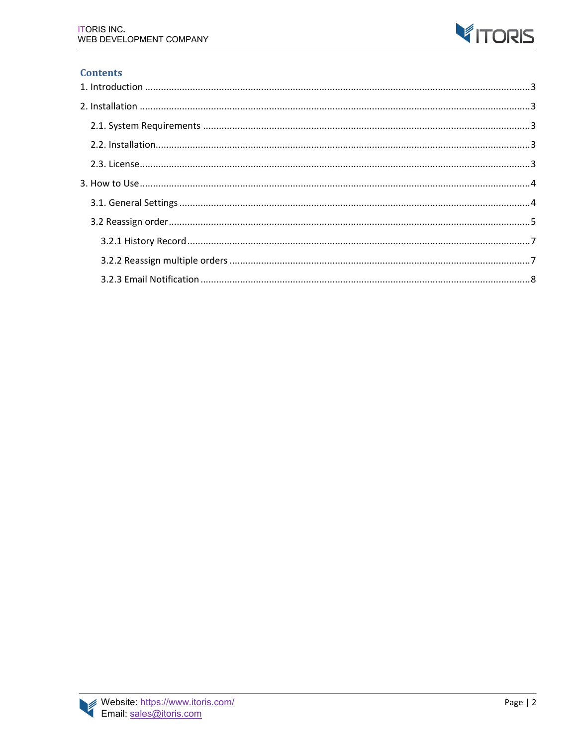

#### **Contents**

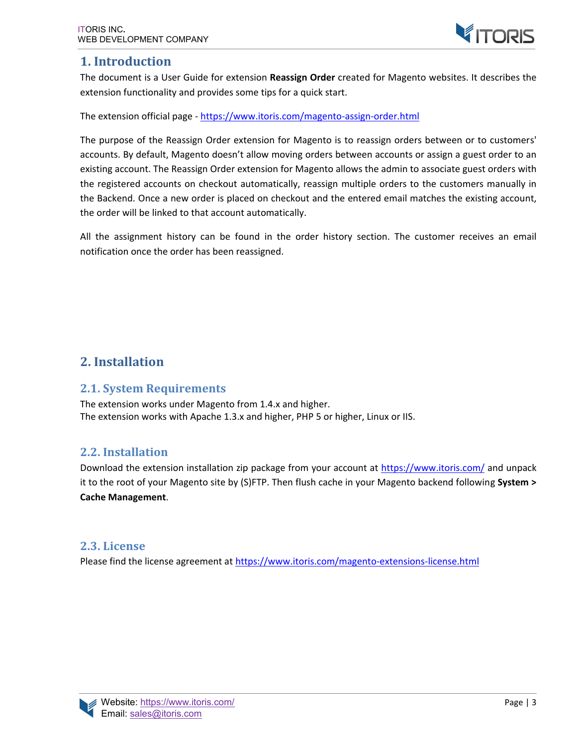## **1. Introduction**

The document is a User Guide for extension **Reassign Order** created for Magento websites. It describes the extension functionality and provides some tips for a quick start.

The extension official page - https://www.itoris.com/magento-assign-order.html

The purpose of the Reassign Order extension for Magento is to reassign orders between or to customers' accounts. By default, Magento doesn't allow moving orders between accounts or assign a guest order to an existing account. The Reassign Order extension for Magento allows the admin to associate guest orders with the registered accounts on checkout automatically, reassign multiple orders to the customers manually in the Backend. Once a new order is placed on checkout and the entered email matches the existing account, the order will be linked to that account automatically.

All the assignment history can be found in the order history section. The customer receives an email notification once the order has been reassigned.

# **2. Installation**

#### **2.1. System Requirements**

The extension works under Magento from 1.4.x and higher. The extension works with Apache 1.3.x and higher, PHP 5 or higher, Linux or IIS.

#### **2.2. Installation**

Download the extension installation zip package from your account at https://www.itoris.com/ and unpack it to the root of your Magento site by (S)FTP. Then flush cache in your Magento backend following **System > Cache Management**.

#### **2.3. License**

Please find the license agreement at https://www.itoris.com/magento-extensions-license.html

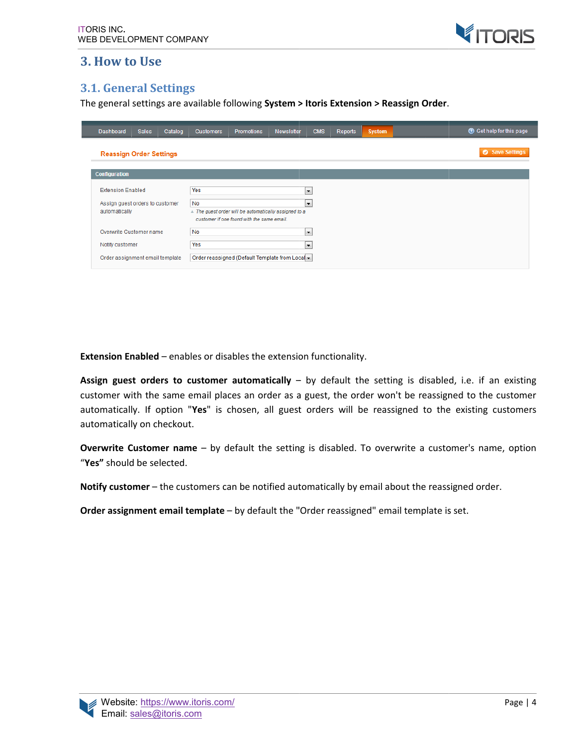

## **3. How to Use**

#### **3.1. General Settings**

The general settings are available following System > Itoris Extension > Reassign Order.

| <b>Dashboard</b>                | <b>Sales</b> | Catalog | <b>Customers</b> | <b>Promotions</b>                                                                                   | <b>Newsletter</b> | <b>CMS</b>           | <b>Reports</b> | <b>System</b> | C Get help for this page |
|---------------------------------|--------------|---------|------------------|-----------------------------------------------------------------------------------------------------|-------------------|----------------------|----------------|---------------|--------------------------|
| <b>Reassign Order Settings</b>  |              |         |                  |                                                                                                     |                   |                      |                |               | Save Settings            |
| <b>Configuration</b>            |              |         |                  |                                                                                                     |                   |                      |                |               |                          |
| <b>Extension Enabled</b>        |              |         | Yes              |                                                                                                     |                   | $\blacktriangledown$ |                |               |                          |
| Assign guest orders to customer |              |         | <b>No</b>        |                                                                                                     |                   | $\blacktriangledown$ |                |               |                          |
| automatically                   |              |         |                  | A The guest order will be automatically assigned to a<br>customer if one found with the same email. |                   |                      |                |               |                          |
| Overwrite Customer name         |              |         | No               |                                                                                                     |                   | $\blacksquare$       |                |               |                          |
| Notify customer                 |              |         | Yes              |                                                                                                     |                   | $\blacktriangledown$ |                |               |                          |
| Order assignment email template |              |         |                  | Order reassigned (Default Template from Local -                                                     |                   |                      |                |               |                          |

**Extension Enabled** – enables or disables the extension functionality.

Assign guest orders to customer automatically - by default the setting is disabled, i.e. if an existing customer with the same email places an order as a guest, the order won't be reassigned to the customer automatically. If option " **Yes**" is chosen, all guest orders will be reassigned to the existing customers automatically on checkout. same email places an order as a guest, the order won't be reassigned to the pption "Yes" is chosen, all guest orders will be reassigned to the existing checkout.<br>  $\epsilon$  mame – by default the setting is disabled. To overwri

Overwrite Customer name - by default the setting is disabled. To overwrite a customer's name, option "**Yes"** should be selected.

Notify customer – the customers can be notified automatically by email about the reassigned order.

**Order assignment email template** – by default the "Order

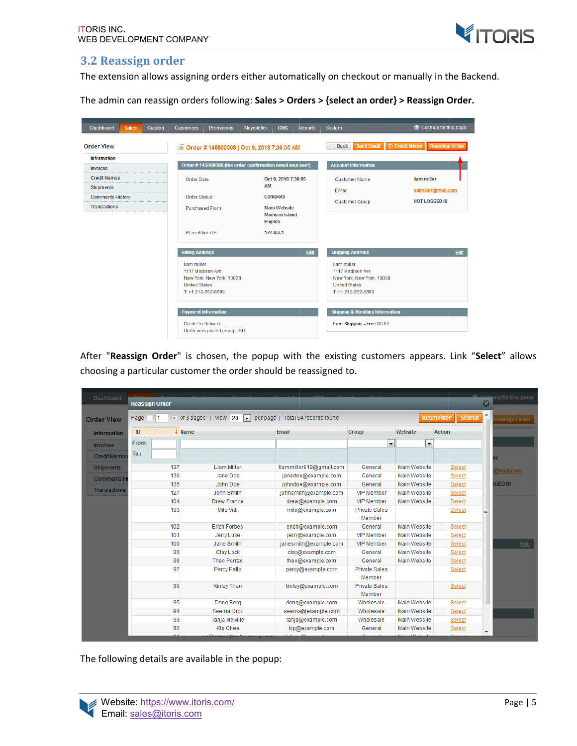

#### **3.2 Reassign order**

The extension allows assigning orders either automatically on checkout or manually in the Backend.

The admin can reassign orders following: **Sales > Orders > {select an order} > {select an Reassign Order Order.**

| <b>Dashboard</b>                        | <b>Sales</b> | Catalog                                 | <b>Customers</b>           | <b>Promotions</b>                                        | <b>Newsletter</b>     | <b>CMS</b>          | <b>Reports</b>        | <b>System</b>                              |                             | C Get help for this page                      |  |  |  |  |
|-----------------------------------------|--------------|-----------------------------------------|----------------------------|----------------------------------------------------------|-----------------------|---------------------|-----------------------|--------------------------------------------|-----------------------------|-----------------------------------------------|--|--|--|--|
| <b>Order View</b>                       |              |                                         | rs.                        | Order #145000008   Oct 9, 2018 7:36:05 AM                |                       |                     |                       | 4 Back                                     | <b>Send Email</b>           | <b>园 Credit Memo</b><br><b>Reassign Order</b> |  |  |  |  |
| <b>Information</b>                      |              |                                         |                            |                                                          |                       |                     |                       |                                            |                             |                                               |  |  |  |  |
| Invoices                                |              |                                         |                            | Order #145000008 (the order confirmation email was sent) |                       |                     |                       | <b>Account Information</b>                 |                             |                                               |  |  |  |  |
| <b>Credit Memos</b>                     |              |                                         | <b>Order Date</b>          |                                                          |                       | Oct 9, 2018 7:36:05 |                       | <b>Customer Name</b>                       |                             | liam miller                                   |  |  |  |  |
| Shipments<br>.                          |              |                                         |                            | AM                                                       |                       |                     | Fmail                 |                                            | salmiller@mail.com          |                                               |  |  |  |  |
| <b>Comments History</b><br>Transactions |              | <b>Order Status</b>                     |                            |                                                          | Complete              |                     | <b>Customer Group</b> |                                            | <b>NOT LOGGED IN</b>        |                                               |  |  |  |  |
|                                         |              | <b>Purchased From</b><br><b>English</b> |                            |                                                          | <b>Main Website</b>   |                     |                       |                                            |                             |                                               |  |  |  |  |
|                                         |              |                                         |                            |                                                          | <b>Madison Island</b> |                     |                       |                                            |                             |                                               |  |  |  |  |
|                                         |              |                                         |                            |                                                          |                       |                     |                       |                                            |                             |                                               |  |  |  |  |
|                                         |              |                                         | Placed from IP             |                                                          |                       | 127.0.0.1           |                       |                                            |                             |                                               |  |  |  |  |
|                                         |              |                                         |                            |                                                          |                       |                     |                       |                                            |                             |                                               |  |  |  |  |
|                                         |              |                                         | <b>Billing Address</b>     |                                                          |                       |                     | Edit                  | <b>Shipping Address</b>                    |                             | Edit                                          |  |  |  |  |
|                                         |              |                                         | liam miller                |                                                          |                       |                     |                       | liam miller                                |                             |                                               |  |  |  |  |
|                                         |              |                                         | 1117 Madison Ave           |                                                          |                       |                     |                       | 1117 Madison Ave                           |                             |                                               |  |  |  |  |
|                                         |              |                                         | <b>United States</b>       | New York, New York, 10028                                |                       |                     |                       | <b>United States</b>                       | New York, New York, 10028   |                                               |  |  |  |  |
|                                         |              |                                         |                            | T: +1 212-262-8899                                       |                       |                     |                       | T: +1 212-262-8899                         |                             |                                               |  |  |  |  |
|                                         |              |                                         |                            |                                                          |                       |                     |                       |                                            |                             |                                               |  |  |  |  |
|                                         |              |                                         | <b>Payment Information</b> |                                                          |                       |                     |                       | <b>Shipping &amp; Handling Information</b> |                             |                                               |  |  |  |  |
|                                         |              |                                         |                            |                                                          |                       |                     |                       |                                            |                             |                                               |  |  |  |  |
|                                         |              |                                         | Cash On Delivery           |                                                          |                       |                     |                       |                                            | Free Shipping - Free \$0.00 |                                               |  |  |  |  |
|                                         |              |                                         |                            | Order was placed using USD                               |                       |                     |                       |                                            |                             |                                               |  |  |  |  |

After "Reassign Order" is chosen, the popup with the existing customers appears. Link "Select" allows choosing a particular customer the order should be reassigned to. choosing a

| Dashboard           | <b>Reassign Order</b>                                                                                                                                             |                       |                         |                                |                          |               | <b>Continuely</b> for this page<br>$\overline{\infty}$ |  |  |  |  |
|---------------------|-------------------------------------------------------------------------------------------------------------------------------------------------------------------|-----------------------|-------------------------|--------------------------------|--------------------------|---------------|--------------------------------------------------------|--|--|--|--|
| <b>Order View</b>   | Page<br>$\triangleright$ of 3 pages  <br>View 20<br>$\overline{\phantom{a}}$<br>Total 54 records found<br><b>Reset Filter</b><br><b>Search</b><br>per page  <br>1 |                       |                         |                                |                          |               |                                                        |  |  |  |  |
| <b>Information</b>  | ID                                                                                                                                                                | $\downarrow$ Name     | <b>Email</b>            | Group                          | Website                  | <b>Action</b> |                                                        |  |  |  |  |
| <b>Invoices</b>     | From:                                                                                                                                                             |                       |                         | $\overline{\phantom{a}}$       | $\overline{\phantom{a}}$ |               |                                                        |  |  |  |  |
| <b>Credit Memos</b> | To:                                                                                                                                                               |                       |                         |                                |                          |               |                                                        |  |  |  |  |
| <b>Shipments</b>    | 137                                                                                                                                                               | <b>Liam Miller</b>    | liammiller619@gmail.com | General                        | Main Website             | Select        |                                                        |  |  |  |  |
| <b>Comments H</b>   | 136                                                                                                                                                               | Jane Doe              | janedoe@example.com     | General                        | Main Website             | Select        | @mail.com                                              |  |  |  |  |
|                     | 135                                                                                                                                                               | John Doe              | johndoe@example.com     | General                        | Main Website             | Select        | <b>GED IN</b>                                          |  |  |  |  |
| Transactions        | 127                                                                                                                                                               | John Smith            | johnsmith@example.com   | <b>VIP Member</b>              | Main Website             | Select        |                                                        |  |  |  |  |
|                     | 104                                                                                                                                                               | <b>Drew France</b>    | drew@example.com        | <b>VIP Member</b>              | Main Website             | Select        |                                                        |  |  |  |  |
|                     | 103                                                                                                                                                               | <b>Milo Vitti</b>     | milo@example.com        | <b>Private Sales</b><br>Member |                          | <b>Select</b> | Ξ                                                      |  |  |  |  |
|                     | 102                                                                                                                                                               | <b>Erich Forbes</b>   | erich@example.com       | General                        | Main Website             | Select        |                                                        |  |  |  |  |
|                     | 101                                                                                                                                                               | Jerry Luke            | jerry@example.com       | <b>VIP Member</b>              | Main Website             | Select        |                                                        |  |  |  |  |
|                     | 100                                                                                                                                                               | Jane Smith            | janesmith@example.com   | <b>VIP Member</b>              | Main Website             | Select        | Edit                                                   |  |  |  |  |
|                     | 99                                                                                                                                                                | <b>Clav Lock</b>      | clay@example.com        | General                        | Main Website             | Select        |                                                        |  |  |  |  |
|                     | 98                                                                                                                                                                | <b>Theo Porras</b>    | theo@example.com        | General                        | Main Website             | Select        |                                                        |  |  |  |  |
|                     | 97                                                                                                                                                                | Percy Pella           | percy@example.com       | <b>Private Sales</b><br>Member |                          | Select        |                                                        |  |  |  |  |
|                     | 96                                                                                                                                                                | <b>Kinley Than</b>    | kinley@example.com      | <b>Private Sales</b><br>Member |                          | Select        |                                                        |  |  |  |  |
|                     | 95                                                                                                                                                                | Dong Berg             | dong@example.com        | Wholesale                      | Main Website             | Select        |                                                        |  |  |  |  |
|                     | 94                                                                                                                                                                | Seema Droz            | seema@example.com       | Wholesale                      | Main Website             | Select        |                                                        |  |  |  |  |
|                     | 93                                                                                                                                                                | <b>Tania Melville</b> | tanja@example.com       | Wholesale                      | <b>Main Website</b>      | Select        |                                                        |  |  |  |  |
|                     | 92                                                                                                                                                                | <b>Kip Chee</b>       | kip@example.com         | General                        | Main Website             | Select        |                                                        |  |  |  |  |
|                     |                                                                                                                                                                   |                       |                         |                                |                          |               |                                                        |  |  |  |  |

The following details are available in the popup:

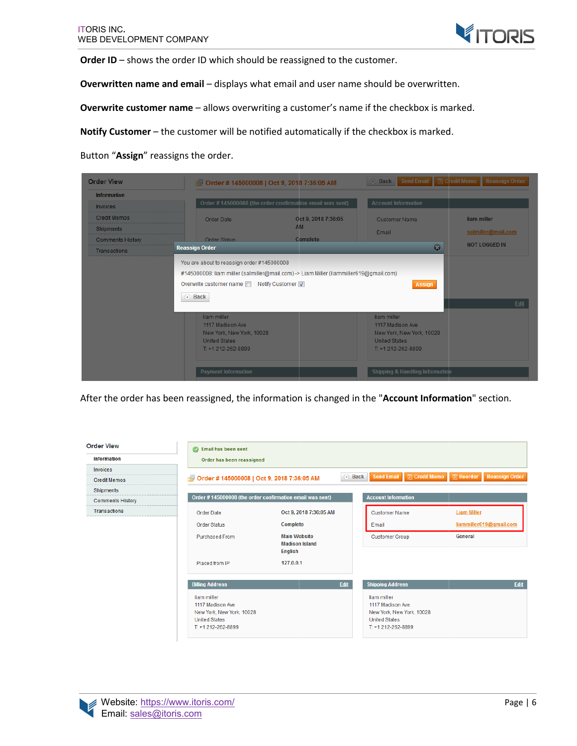

**Order ID** – shows the order ID which should be reassigned to the customer.

Overwritten name and email - displays what email and user name should be overwritten.

**Order ID** – shows the order ID which should be reassigned to the customer.<br>**Overwritten name and email** – displays what email and user name should be overwritten.<br>**Overwrite customer name** – allows overwriting a customer'

Notify Customer – the customer will be notified automatically if the checkbox is marked.

Button "**Assign**" reassigns the order.

| <b>Order View</b>       |                                                                                                            | S Order #145000008   Oct 9, 2018 7:36:05 AM              | <b>Send Email</b><br><b>a</b> Back                                                                         | <b>园 Credit Memo</b><br><b>Reassign Order</b> |
|-------------------------|------------------------------------------------------------------------------------------------------------|----------------------------------------------------------|------------------------------------------------------------------------------------------------------------|-----------------------------------------------|
| <b>Information</b>      |                                                                                                            |                                                          |                                                                                                            |                                               |
| <b>Invoices</b>         |                                                                                                            | Order #145000008 (the order confirmation email was sent) | <b>Account Information</b>                                                                                 |                                               |
| <b>Credit Memos</b>     | Order Date                                                                                                 | Oct 9, 2018 7:36:05                                      | <b>Customer Name</b>                                                                                       | liam miller                                   |
| <b>Shipments</b>        |                                                                                                            | <b>AM</b>                                                | Email                                                                                                      | salmiller@mail.com                            |
| <b>Comments History</b> | Order Status                                                                                               | <b>Complete</b>                                          |                                                                                                            | <b>NOT LOGGED IN</b>                          |
| Transactions            | <b>Reassign Order</b>                                                                                      |                                                          | $\mathbf{\overline{R}}$                                                                                    |                                               |
|                         | Overwrite customer name Notify Customer<br>4 Back                                                          |                                                          | <b>Assign</b>                                                                                              | Edit                                          |
|                         | liam miller<br>1117 Madison Ave<br>New York, New York, 10028<br><b>United States</b><br>T: +1 212-262-8899 |                                                          | liam miller<br>1117 Madison Ave<br>New York, New York, 10028<br><b>United States</b><br>T: +1 212-262-8899 |                                               |
|                         | <b>Payment Information</b>                                                                                 |                                                          | <b>Shipping &amp; Handling Information</b>                                                                 |                                               |

After the order has been reassigned, the information is changed in the "Account Information" section.

| <b>Order View</b>       | Email has been sent                                                                                        |                                                                |             |        |                                                                                                            |                      |                    |                         |
|-------------------------|------------------------------------------------------------------------------------------------------------|----------------------------------------------------------------|-------------|--------|------------------------------------------------------------------------------------------------------------|----------------------|--------------------|-------------------------|
| <b>Information</b>      | Order has been reassigned                                                                                  |                                                                |             |        |                                                                                                            |                      |                    |                         |
| Invoices                |                                                                                                            |                                                                |             |        |                                                                                                            |                      |                    |                         |
| <b>Credit Memos</b>     | Order #145000008   Oct 9, 2018 7:36:05 AM<br>禹                                                             |                                                                |             | a Back | <b>Send Email</b>                                                                                          | <b>园 Credit Memo</b> | <b>园 Reorder</b>   | <b>Reassign Order</b>   |
| Shipments<br>.          |                                                                                                            |                                                                |             |        |                                                                                                            |                      |                    |                         |
| <b>Comments History</b> |                                                                                                            | Order #145000008 (the order confirmation email was sent)       |             |        | <b>Account Information</b>                                                                                 |                      |                    |                         |
| Transactions            | Order Date                                                                                                 | Oct 9, 2018 7:36:05 AM                                         |             |        | <b>Customer Name</b>                                                                                       |                      | <b>Liam Miller</b> |                         |
|                         | <b>Order Status</b>                                                                                        | Complete                                                       |             |        | Email                                                                                                      |                      |                    | liammiller619@gmail.com |
|                         | <b>Purchased From</b>                                                                                      | <b>Main Website</b><br><b>Madison Island</b><br><b>English</b> |             |        | <b>Customer Group</b>                                                                                      |                      | General            |                         |
|                         | Placed from IP                                                                                             | 127.0.0.1                                                      |             |        |                                                                                                            |                      |                    |                         |
|                         | <b>Billing Address</b>                                                                                     |                                                                | <b>Edit</b> |        | <b>Shipping Address</b>                                                                                    |                      |                    | Edit                    |
|                         | liam miller<br>1117 Madison Ave<br>New York, New York, 10028<br><b>United States</b><br>T: +1 212-262-8899 |                                                                |             |        | liam miller<br>1117 Madison Ave<br>New York, New York, 10028<br><b>United States</b><br>T: +1 212-262-8899 |                      |                    |                         |

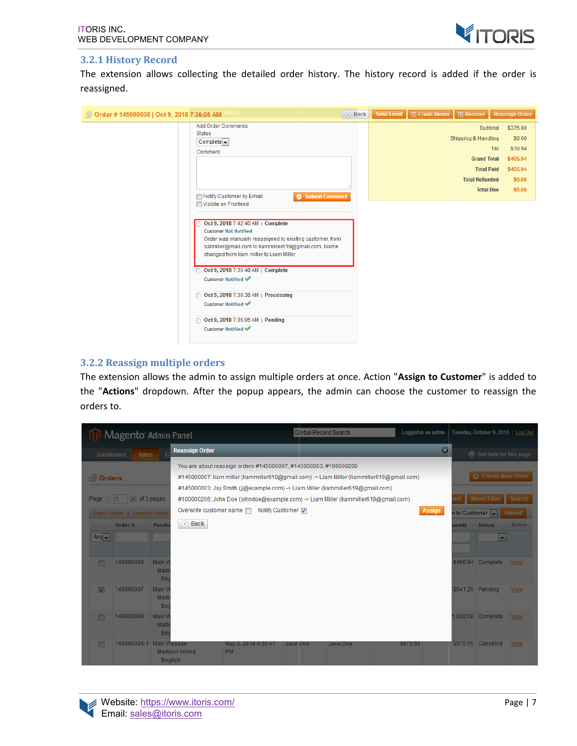

#### **3.2.1 History Record**

The extension allows collecting the detailed order history. The history record is added if the order is reassigned.

| 图 Order # 145000008   Oct 9, 2018 7:36:05 AM                                                                                                                                                                                                                                                         | 4 Back | Send Email | <b>凤 Credit Memo</b>  <br><b>同 Reorder</b>                         |                                                          | <b>Reassign Order</b>                                                     |
|------------------------------------------------------------------------------------------------------------------------------------------------------------------------------------------------------------------------------------------------------------------------------------------------------|--------|------------|--------------------------------------------------------------------|----------------------------------------------------------|---------------------------------------------------------------------------|
| <b>Add Order Comments</b><br><b>Status</b><br>$Complete -$<br>Comment                                                                                                                                                                                                                                |        |            | Shipping & Handling<br><b>Grand Total</b><br><b>Total Refunded</b> | Subtotal<br>Tax<br><b>Total Paid</b><br><b>Total Due</b> | \$375.00<br>\$0.00<br>\$30.94<br>\$405.94<br>\$405.94<br>\$0.00<br>\$0.00 |
| Submit Comment<br>Notify Customer by Email<br>Visible on Frontend<br>Oct 9, 2018 7:42:40 AM   Complete<br><b>Customer Not Notified</b><br>Order was manually reassigned to existing customer, from<br>salmiller@mail.com to liammiller619@gmail.com. Name<br>changed from liam miller to Liam Miller |        |            |                                                                    |                                                          |                                                                           |
| Oct 9, 2018 7:36:48 AM   Complete<br>Customer Notified<br>Oct 9, 2018 7:36:38 AM   Processing<br>n<br>Customer Notified ↓                                                                                                                                                                            |        |            |                                                                    |                                                          |                                                                           |
| Oct 9, 2018 7:36:05 AM   Pending<br>n<br>Customer Notified ↓                                                                                                                                                                                                                                         |        |            |                                                                    |                                                          |                                                                           |

#### **3.2.2 Reassign multiple orders**

The extension allows the admin to assign multiple orders at once. Action "Assign to Customer" is added to the "Actions" dropdown. After the popup appears, the admin can choose the customer to reassign the orders to.